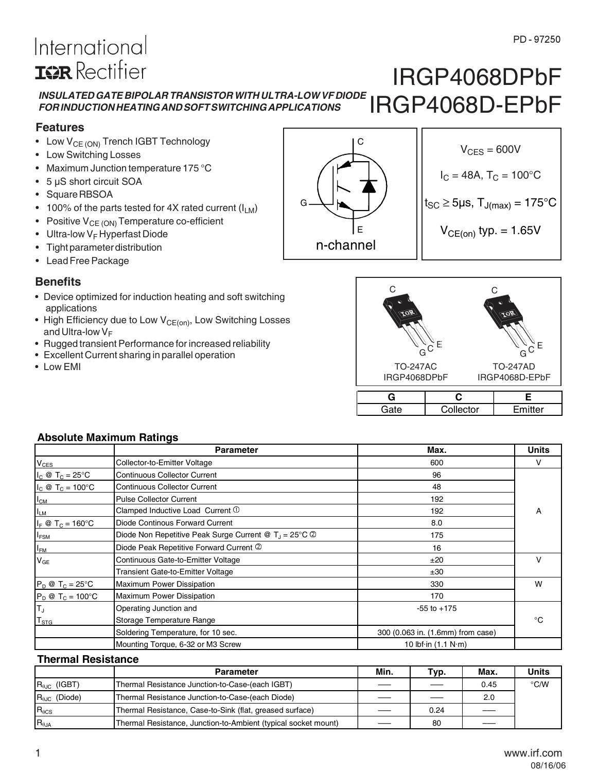### *INSULATED GATE BIPOLAR TRANSISTOR WITH ULTRA-LOW VF DIODE FOR INDUCTION HEATING AND SOFT SWITCHING APPLICATIONS* IRGP4068DPbF IRGP4068D-EPbF

### **Features**

- Low  $V_{CE (ON)}$  Trench IGBT Technology
- Low Switching Losses

International

**ISR** Rectifier

- Maximum Junction temperature 175 °C
- 5 µS short circuit SOA
- Square RBSOA
- 100% of the parts tested for 4X rated current  $(I_{LM})$
- Positive  $V_{CE (ON)}$  Temperature co-efficient
- Ultra-low  $V_F$  Hyperfast Diode
- Tight parameter distribution
- Lead Free Package

### **Benefits**

- Device optimized for induction heating and soft switching applications
- High Efficiency due to Low  $V_{CE(on)}$ , Low Switching Losses and Ultra-low  $V_F$
- Rugged transient Performance for increased reliability
- Excellent Current sharing in parallel operation
- Low EMI



 $V_{CES} = 600V$  $I_C = 48A$ ,  $T_C = 100^{\circ}C$  $t_{SC} \geq 5 \mu s$ ,  $T_{J(max)} = 175^{\circ}C$ 

TO-247AC IRGP4068DPbF TO-247AD IRGP4068D-EPbF  $G^{\circ}$ E  $\bigcap$  $G^{\circ}$ E  $\cap$ 

| Collector | $\mathsf{\Xi}\mathsf{mitter}$ |
|-----------|-------------------------------|

### **Absolute Maximum Ratings**

|                                  | <b>Parameter</b>                                                | Max.                                | <b>Units</b> |
|----------------------------------|-----------------------------------------------------------------|-------------------------------------|--------------|
| <b>V<sub>CES</sub></b>           | Collector-to-Emitter Voltage                                    | 600                                 | v            |
| $I_C \otimes T_C = 25^{\circ}C$  | <b>Continuous Collector Current</b>                             | 96                                  |              |
| $I_C \otimes T_C = 100^{\circ}C$ | <b>Continuous Collector Current</b>                             | 48                                  |              |
| $I_{CM}$                         | <b>Pulse Collector Current</b>                                  | 192                                 |              |
| $I_{LM}$                         | Clamped Inductive Load Current 1                                | 192                                 | A            |
| $I_F \otimes T_C = 160^{\circ}C$ | Diode Continous Forward Current                                 | 8.0                                 |              |
| I <sub>FSM</sub>                 | Diode Non Repetitive Peak Surge Current @ $T_J = 25^{\circ}C$ @ | 175                                 |              |
| $I_{FM}$                         | Diode Peak Repetitive Forward Current 2                         | 16                                  |              |
| $V_{GE}$                         | Continuous Gate-to-Emitter Voltage                              | ±20                                 | v            |
|                                  | Transient Gate-to-Emitter Voltage                               | ±30                                 |              |
| $P_D @ T_C = 25^\circ C$         | <b>Maximum Power Dissipation</b>                                | 330                                 | W            |
| $P_D @ T_C = 100°C$              | <b>Maximum Power Dissipation</b>                                | 170                                 |              |
| Iт,                              | Operating Junction and                                          | $-55$ to $+175$                     |              |
| T <sub>STG</sub>                 | Storage Temperature Range                                       |                                     | °€           |
|                                  | Soldering Temperature, for 10 sec.                              | 300 (0.063 in. (1.6mm) from case)   |              |
|                                  | Mounting Torque, 6-32 or M3 Screw                               | 10 lbf $\cdot$ in (1.1 N $\cdot$ m) |              |

### **Thermal Resistance**

|                          | <b>Parameter</b>                                               | Min. | Typ. | Max. | <b>Units</b> |
|--------------------------|----------------------------------------------------------------|------|------|------|--------------|
| $R_{\text{B,IC}}$ (IGBT) | Thermal Resistance Junction-to-Case-(each IGBT)                |      |      | 0.45 | °C/W         |
| $R_{0,IC}$ (Diode)       | Thermal Resistance Junction-to-Case-(each Diode)               |      |      | 2.0  |              |
| $R_{\theta CS}$          | Thermal Resistance, Case-to-Sink (flat, greased surface)       |      | 0.24 |      |              |
| $R_{\theta$ JA           | Thermal Resistance, Junction-to-Ambient (typical socket mount) |      | 80   |      |              |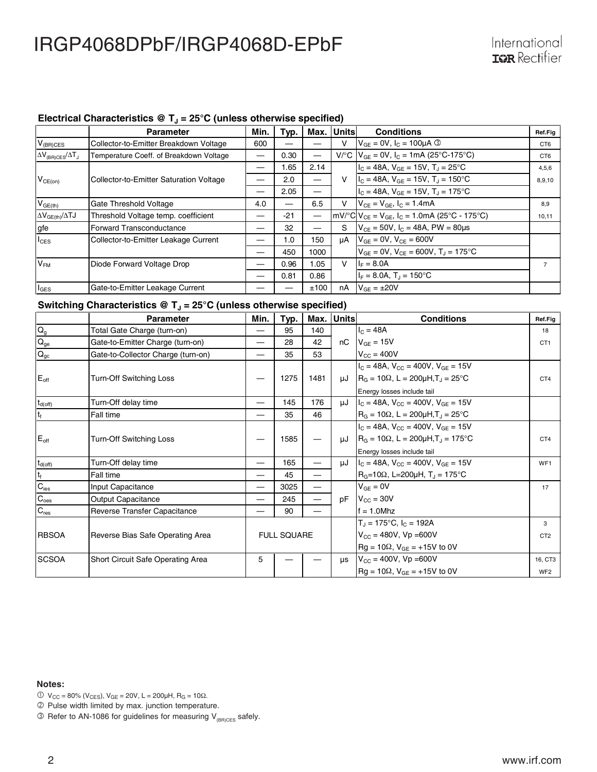### Electrical Characteristics @ T<sub>J</sub> = 25°C (unless otherwise specified)

|                                 | <b>Parameter</b>                        | Min. | Typ.  | Max. I                   | Unitsl | <b>Conditions</b>                                        | Ref.Fig         |
|---------------------------------|-----------------------------------------|------|-------|--------------------------|--------|----------------------------------------------------------|-----------------|
| $V_{(BR)CES}$                   | Collector-to-Emitter Breakdown Voltage  | 600  |       |                          | v      | $V_{GF} = 0V$ , $I_C = 100 \mu A$ ©                      | CT <sub>6</sub> |
| $\Delta V_{(BR)CES}/\Delta T_J$ | Temperature Coeff. of Breakdown Voltage |      | 0.30  |                          |        | $V^{\circ}C$   $V_{GF}$ = 0V, $I_{C}$ = 1mA (25°C-175°C) | CT <sub>6</sub> |
|                                 |                                         |      | 1.65  | 2.14                     |        | $I_C = 48A$ , $V_{GF} = 15V$ , $T_A = 25^{\circ}C$       | 4,5,6           |
| $V_{CE(on)}$                    | Collector-to-Emitter Saturation Voltage |      | 2.0   | $\overline{\phantom{0}}$ | V      | $I_c = 48A$ , $V_{GE} = 15V$ , $T_J = 150^{\circ}C$      | 8,9,10          |
|                                 |                                         |      | 2.05  | —                        |        | $I_C = 48A$ , $V_{GE} = 15V$ , $T_J = 175$ °C            |                 |
| $V_{GE(th)}$                    | Gate Threshold Voltage                  | 4.0  | --    | 6.5                      | v      | $V_{CE} = V_{GE}$ , $I_C = 1.4$ mA                       | 8.9             |
| $\Delta V_{GE(th)}/\Delta TJ$   | Threshold Voltage temp. coefficient     |      | $-21$ | —                        |        | mV/°C $V_{CE}$ = $V_{GE}$ , $I_C$ = 1.0mA (25°C - 175°C) | 10,11           |
| gfe                             | Forward Transconductance                |      | 32    |                          | S      | $V_{CE}$ = 50V, $I_C$ = 48A, PW = 80µs                   |                 |
| $I_{\text{CES}}$                | Collector-to-Emitter Leakage Current    |      | 1.0   | 150                      | μA     | $V_{GE} = 0V$ , $V_{CE} = 600V$                          |                 |
|                                 |                                         |      | 450   | 1000                     |        | $V_{GF} = 0V$ , $V_{CF} = 600V$ , $T_{J} = 175^{\circ}C$ |                 |
| V <sub>FM</sub>                 | Diode Forward Voltage Drop              |      | 0.96  | 1.05                     | v      | $I_F = 8.0A$                                             | $\overline{7}$  |
|                                 |                                         |      | 0.81  | 0.86                     |        | $I_F = 8.0A$ , $T_J = 150^{\circ}C$                      |                 |
| $I_{\texttt{GES}}$              | Gate-to-Emitter Leakage Current         |      |       | ±100                     | nA     | $V_{GF} = \pm 20V$                                       |                 |

### Switching Characteristics @ T<sub>J</sub> = 25°C (unless otherwise specified)

|                           | <b>Parameter</b>                   | Min. | Typ.               | Max.                     | <b>Units</b> | <b>Conditions</b>                                                                                                                                              | Ref.Fia                    |
|---------------------------|------------------------------------|------|--------------------|--------------------------|--------------|----------------------------------------------------------------------------------------------------------------------------------------------------------------|----------------------------|
| $\mathsf{Q}_{\mathsf{g}}$ | Total Gate Charge (turn-on)        |      | 95                 | 140                      |              | $I_C = 48A$                                                                                                                                                    | 18                         |
| $\mathbf{Q}_\mathrm{ge}$  | Gate-to-Emitter Charge (turn-on)   |      | 28                 | 42                       | nC           | $V_{GE}$ = 15V                                                                                                                                                 | CT <sub>1</sub>            |
| $Q_{gc}$                  | Gate-to-Collector Charge (turn-on) |      | 35                 | 53                       |              | $V_{CC}$ = 400V                                                                                                                                                |                            |
| $E_{\text{off}}$          | Turn-Off Switching Loss            |      | 1275               | 1481                     |              | $I_C = 48A$ , $V_{CC} = 400V$ , $V_{GF} = 15V$<br>$\mu$ J   R <sub>G</sub> = 10 $\Omega$ , L = 200 $\mu$ H,T <sub>J</sub> = 25°C<br>Energy losses include tail | CT <sub>4</sub>            |
| $t_{d(off)}$              | Turn-Off delay time                |      | 145                | 176                      | uJ           | $I_C = 48A$ , $V_{CC} = 400V$ , $V_{GE} = 15V$                                                                                                                 |                            |
| $t_f$                     | Fall time                          |      | 35                 | 46                       |              | $R_G = 10\Omega$ , L = 200µH,T <sub>J</sub> = 25°C                                                                                                             |                            |
| $E_{\text{off}}$          | <b>Turn-Off Switching Loss</b>     |      | 1585               |                          | uJ           | $I_C = 48A$ , $V_{CC} = 400V$ , $V_{GF} = 15V$<br>$R_G = 10\Omega$ , L = 200µH,T <sub>J</sub> = 175°C<br>Energy losses include tail                            | CT <sub>4</sub>            |
| $t_{d(off)}$              | Turn-Off delay time                | —    | 165                | $\overline{\phantom{0}}$ | uJ           | $IC = 48A$ , $VCC = 400V$ , $VGF = 15V$                                                                                                                        | WF <sub>1</sub>            |
| $t_f$                     | Fall time                          |      | 45                 |                          |              | $R_G = 10\Omega$ , L=200µH, T <sub>J</sub> = 175°C                                                                                                             |                            |
| $C_{\text{ies}}$          | Input Capacitance                  |      | 3025               |                          |              | $V_{GE} = 0V$                                                                                                                                                  | 17                         |
| $C_{\text{oes}}$          | Output Capacitance                 |      | 245                | —                        | рF           | $V_{\text{CC}} = 30V$                                                                                                                                          |                            |
| $C_{\text{res}}$          | Reverse Transfer Capacitance       |      | 90                 |                          |              | $f = 1.0$ Mhz                                                                                                                                                  |                            |
| <b>RBSOA</b>              | Reverse Bias Safe Operating Area   |      | <b>FULL SQUARE</b> |                          |              | $T_J = 175^{\circ}C$ , $I_C = 192A$<br>$V_{CC}$ = 480V, Vp = 600V<br>$Rg = 10\Omega$ , $V_{GE} = +15V$ to 0V                                                   | 3<br>CT <sub>2</sub>       |
| <b>SCSOA</b>              | Short Circuit Safe Operating Area  | 5    |                    |                          | μs           | $V_{\text{CC}} = 400V$ , $Vp = 600V$<br>$Rg = 10\Omega$ , $V_{GE} = +15V$ to 0V                                                                                | 16, CT3<br>WF <sub>2</sub> |

- $0 \text{ V}_{\text{CC}} = 80\% \text{ (V}_{\text{CES}}), \text{ V}_{\text{GE}} = 20 \text{ V}, L = 200 \mu\text{H}, R_{\text{G}} = 10 \Omega.$
- Pulse width limited by max. junction temperature.
- $\circledS$  Refer to AN-1086 for guidelines for measuring V<sub>(BR)CES</sub> safely.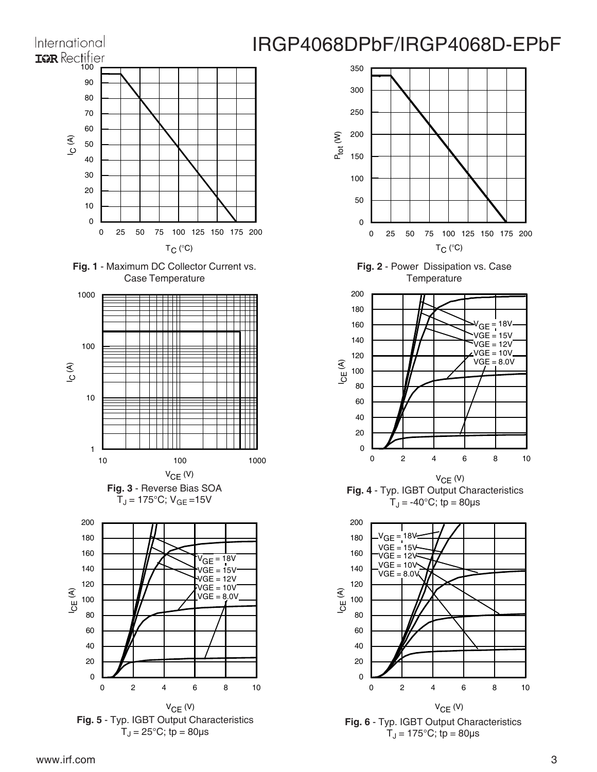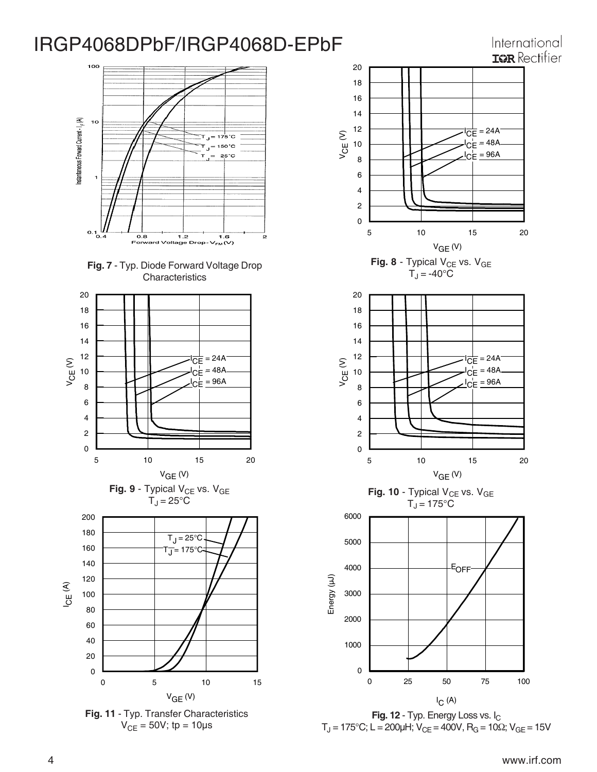## 100 Instantaneous Forward Current - I <sub>F</sub> (A)  $10<sub>o</sub>$ 50°C 25°C  $0.1 \frac{I}{0.4}$ 0.8 1.2<br>Forward Voltage Drop-2 1.6<br>V<sub>FM</sub>(V)









International **ISR** Rectifier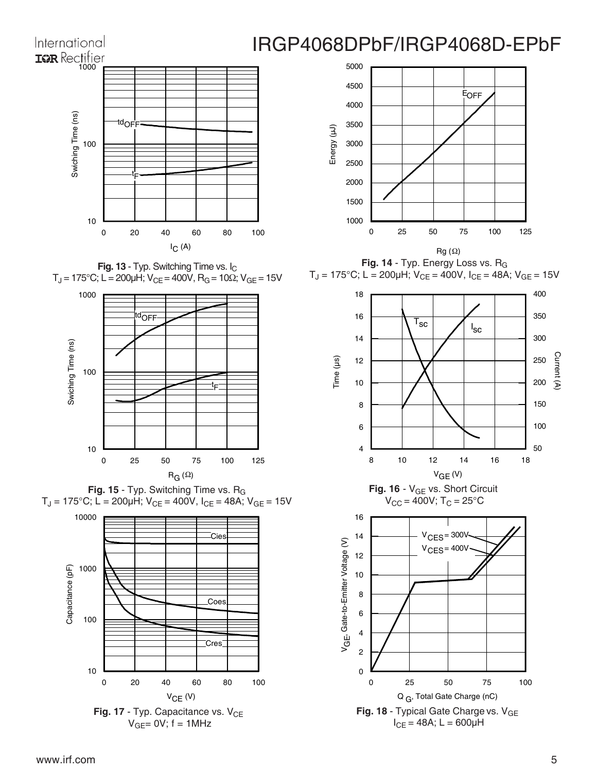



Fig. 18 - Typical Gate Charge vs. V<sub>GE</sub>  $I_{CE} = 48A$ ; L = 600 $\mu$ H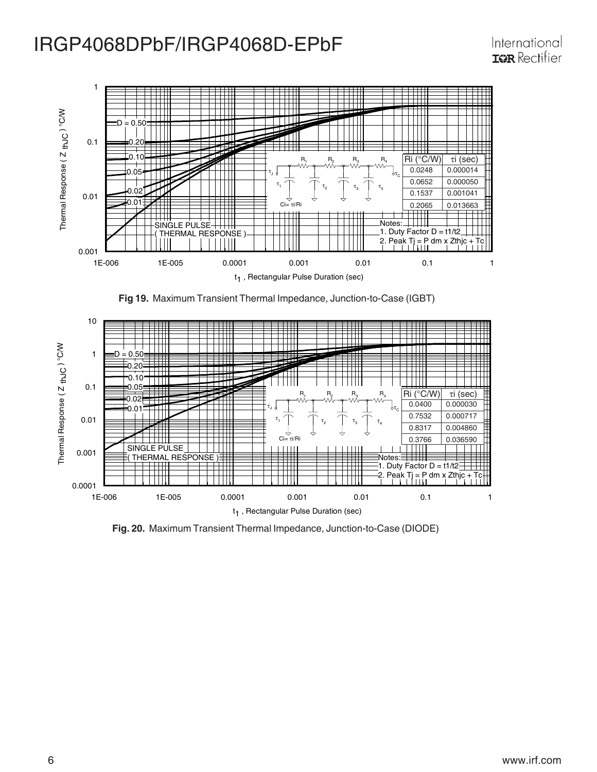





**Fig. 20.** Maximum Transient Thermal Impedance, Junction-to-Case (DIODE)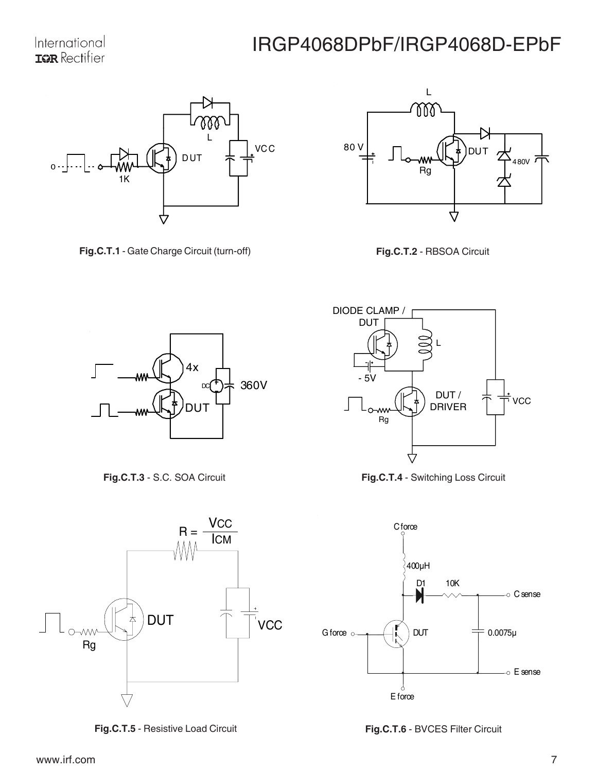

**Fig.C.T.1** - Gate Charge Circuit (turn-off) **Fig.C.T.2** - RBSOA Circuit









**Fig.C.T.5** - Resistive Load Circuit







**Fig.C.T.6** - BVCES Filter Circuit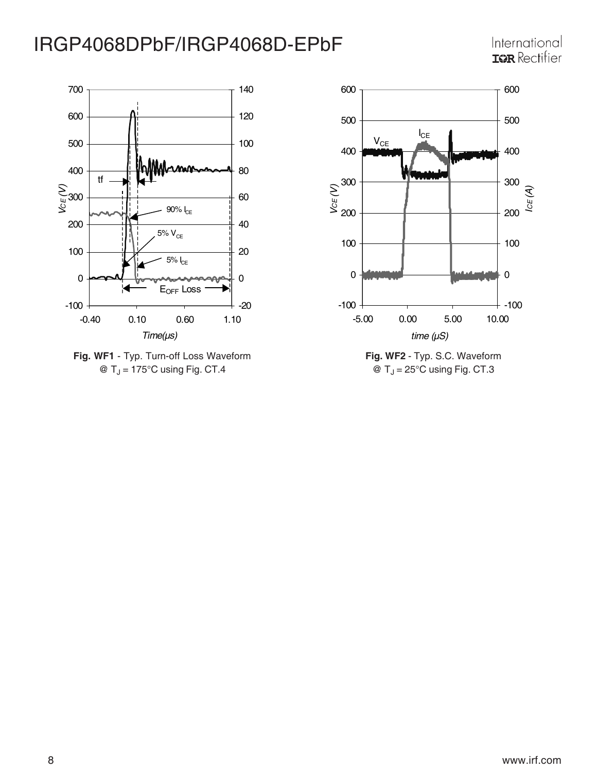





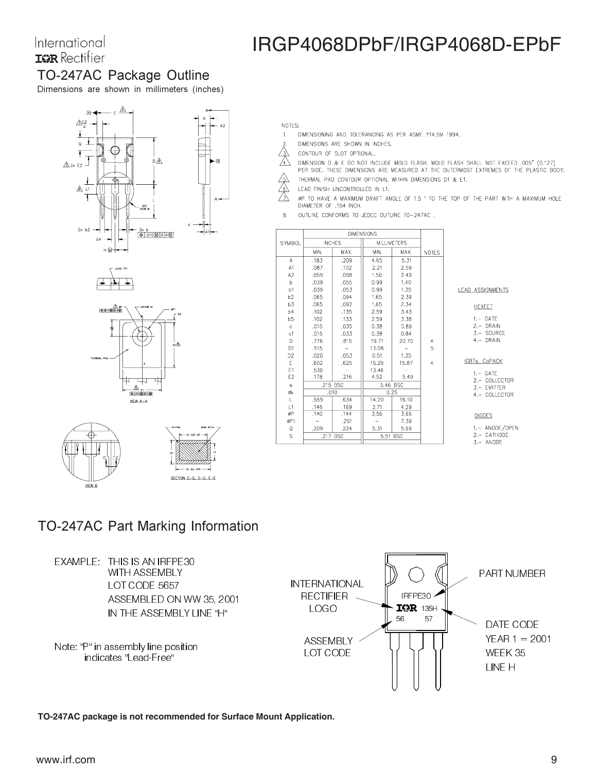### International **IGR** Rectifier

# IRGP4068DPbF/IRGP4068D-EPbF

## TO-247AC Package Outline

Dimensions are shown in millimeters (inches)









- NOTES:
- DIMENSIONING AND TOLERANCING AS PER ASME Y14.5M 1994.  $1<sub>1</sub>$
- DIMENSIONS ARE SHOWN IN INCHES.
- CONTOUR OF SLOT OPTIONAL.
- $\frac{\sqrt{3}}{4}$ DIMENSION D & E DO NOT INCLUDE MOLD FLASH. MOLD FLASH SHALL NOT EXCEED .005" (0.127) PER SIDE. THESE DIMENSIONS ARE MEASURED AT THE OUTERMOST EXTREMES OF THE PLASTIC BODY.
- THERMAL PAD CONTOUR OPTIONAL WITHIN DIMENSIONS D1 & E1.
- LEAD FINISH UNCONTROLLED IN L1.
- Á ØP TO HAVE A MAXIMUM DRAFT ANGLE OF 1.5 ' TO THE TOP OF THE PART WITH A MAXIMUM HOLE DIAMETER OF .154 INCH.
- OUTLINE CONFORMS TO JEDEC OUTLINE TO-247AC.  $\mathbf{R}$

|                | <b>DIMENSIONS</b> |      |              |                    |                |  |
|----------------|-------------------|------|--------------|--------------------|----------------|--|
| SYMBOL         | <b>INCHES</b>     |      |              | <b>MILLIMETERS</b> |                |  |
|                | MIN.              | MAX. |              | MAX.               | <b>NOTES</b>   |  |
| A              | .183              | .209 | 4.65         | 5.31               |                |  |
| A1             | .087              | .102 | 2.21         | 2.59               |                |  |
| A2             | .059              | .098 | 1,50         | 2.49               |                |  |
| b              | .039              | .055 | 0.99         | 1.40               |                |  |
| b1             | .039              | .053 | 0.99         | 1.35               |                |  |
| b2             | .065              | .094 | 1,65         | 2.39               |                |  |
| b3             | .065              | .092 | 1.65         | 2.34               |                |  |
| b4             | .102              | .135 | 2.59         | 3.43               |                |  |
| b5             | .102              | .133 | 2.59         | 3.38               |                |  |
| $\ddot{c}$     | .015              | .035 | 0.38         | 0.89               |                |  |
| c1             | .015              | .033 | 0.38<br>0.84 |                    |                |  |
| D.             | .776              | .815 | 19.71        | 20.70              | 4              |  |
| D <sub>1</sub> | .515              |      | 13.08        |                    | 5              |  |
| D <sub>2</sub> | .020              | .053 | 0.51         | 1.35               |                |  |
| E              | .602              | .625 | 15.29        | 15,87              | $\overline{4}$ |  |
| E1             | .530              |      | 13.46        |                    |                |  |
| E <sub>2</sub> | .178              | .216 | 4,52         | 5.49               |                |  |
| ė              | .215 BSC          |      |              | 5.46 BSC           |                |  |
| Øk             | .010              |      |              | 0.25               |                |  |
| L.             | .559              | .634 | 14.20        | 16,10              |                |  |
| L1             | .146              | .169 | 3.71         | 4.29               |                |  |
| øP             | .140              | .144 | 3.56         | 3.66               |                |  |
| øP1            |                   | .291 |              | 7.39               |                |  |
| Q              | .209              | .224 | 5.31         | 5.69               |                |  |
| S              | .217 BSC          |      |              | 5.51 BSC           |                |  |
|                |                   |      |              |                    |                |  |

#### LEAD ASSIGNMENTS

**HEXFET** 

- $1 GATE$
- 2.- DRAIN<br>3.- SOURCE
- $4 DRAIN$

#### IGBTs, CoPACK

- $1, -$  GATE
- 2. COLLECTOR<br>3. EMITTER
- 4.- COLLECTOR

#### **DIODES**

- 1.- ANODE/OPEN
- $2 CATHODE$
- $3, -$  ANODE

### TO-247AC Part Marking Information



**TO-247AC package is not recommended for Surface Mount Application.**